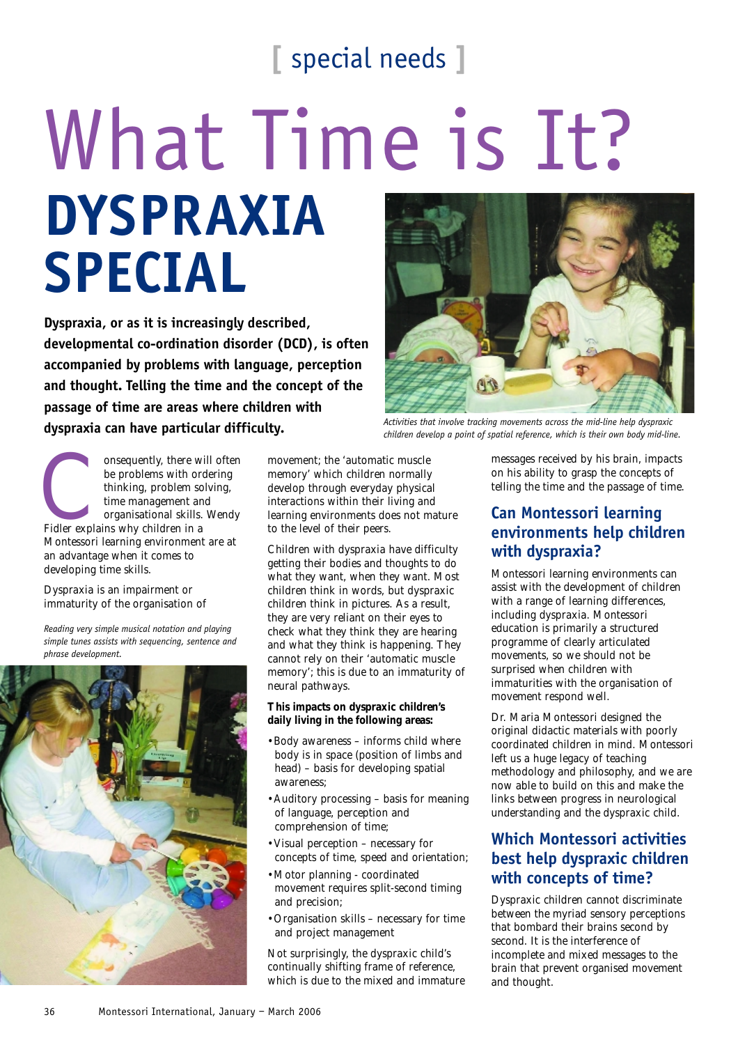## **[** special needs **]**

# What Time is It? **DYSPRAXIA SPECIAL**

**Dyspraxia, or as it is increasingly described, developmental co-ordination disorder (DCD), is often accompanied by problems with language, perception and thought. Telling the time and the concept of the passage of time are areas where children with dyspraxia can have particular difficulty.**



*Activities that involve tracking movements across the mid-line help dyspraxic children develop a point of spatial reference, which is their own body mid-line.*

Consequently, there will often<br>be problems with ordering<br>thinking, problem solving,<br>time management and<br>organisational skills. Wendy<br>Fidler explains why children in a be problems with ordering thinking, problem solving, time management and organisational skills. Wendy Montessori learning environment are at an advantage when it comes to developing time skills.

#### Dyspraxia is an impairment or immaturity of the organisation of

*Reading very simple musical notation and playing simple tunes assists with sequencing, sentence and phrase development.*



movement; the 'automatic muscle memory' which children normally develop through everyday physical interactions within their living and learning environments does not mature to the level of their peers.

Children with dyspraxia have difficulty getting their bodies and thoughts to do what they want, when they want. Most children think in words, but dyspraxic children think in pictures. As a result, they are very reliant on their eyes to check what they think they are hearing and what they think is happening. They cannot rely on their 'automatic muscle memory'; this is due to an immaturity of neural pathways.

#### **This impacts on dyspraxic children's daily living in the following areas:**

- •Body awareness informs child where body is in space (position of limbs and head) – basis for developing spatial awareness;
- •Auditory processing basis for meaning of language, perception and comprehension of time;
- •Visual perception necessary for concepts of time, speed and orientation;
- •Motor planning coordinated movement requires split-second timing and precision;
- •Organisation skills necessary for time and project management

Not surprisingly, the dyspraxic child's continually shifting frame of reference, which is due to the mixed and immature

messages received by his brain, impacts on his ability to grasp the concepts of telling the time and the passage of time.

## **Can Montessori learning environments help children with dyspraxia?**

Montessori learning environments can assist with the development of children with a range of learning differences, including dyspraxia. Montessori education is primarily a structured programme of clearly articulated movements, so we should not be surprised when children with immaturities with the organisation of movement respond well.

Dr. Maria Montessori designed the original didactic materials with poorly coordinated children in mind. Montessori left us a huge legacy of teaching methodology and philosophy, and we are now able to build on this and make the links between progress in neurological understanding and the dyspraxic child.

## **Which Montessori activities best help dyspraxic children with concepts of time?**

Dyspraxic children cannot discriminate between the myriad sensory perceptions that bombard their brains second by second. It is the interference of incomplete and mixed messages to the brain that prevent organised movement and thought.